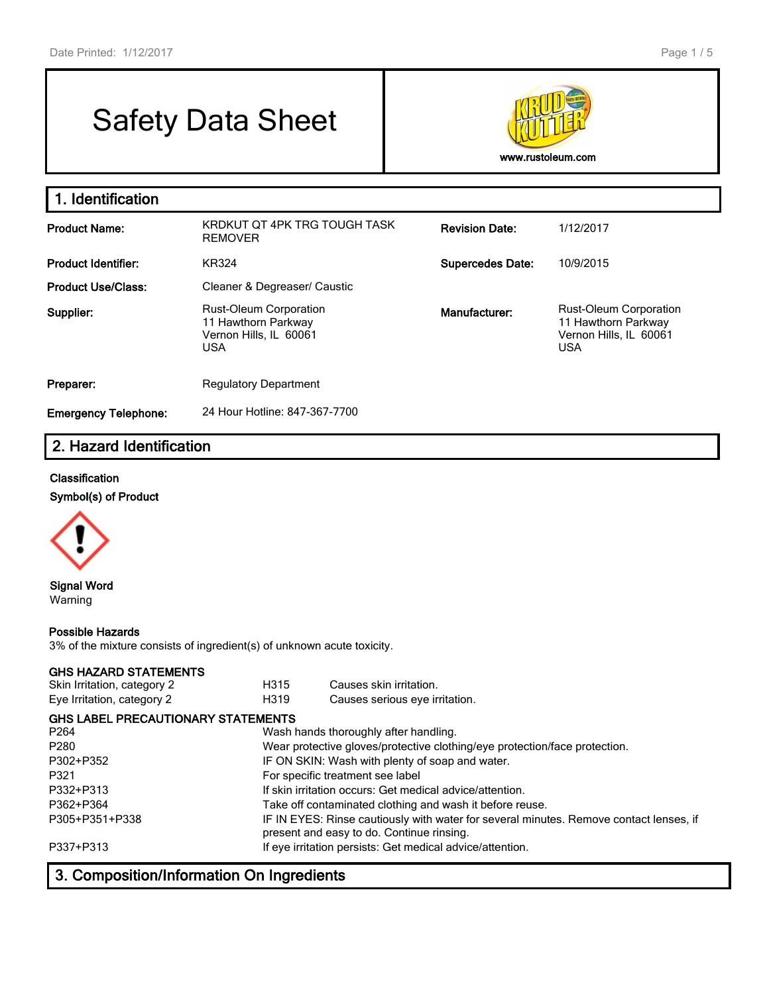# Safety Data Sheet



| 1. Identification           |                                                                                              |                         |                                                                                              |
|-----------------------------|----------------------------------------------------------------------------------------------|-------------------------|----------------------------------------------------------------------------------------------|
| <b>Product Name:</b>        | KRDKUT OT 4PK TRG TOUGH TASK<br><b>REMOVER</b>                                               | <b>Revision Date:</b>   | 1/12/2017                                                                                    |
| <b>Product Identifier:</b>  | KR324                                                                                        | <b>Supercedes Date:</b> | 10/9/2015                                                                                    |
| <b>Product Use/Class:</b>   | Cleaner & Degreaser/ Caustic                                                                 |                         |                                                                                              |
| Supplier:                   | <b>Rust-Oleum Corporation</b><br>11 Hawthorn Parkway<br>Vernon Hills, IL 60061<br><b>USA</b> | Manufacturer:           | <b>Rust-Oleum Corporation</b><br>11 Hawthorn Parkway<br>Vernon Hills, IL 60061<br><b>USA</b> |
| Preparer:                   | <b>Regulatory Department</b>                                                                 |                         |                                                                                              |
| <b>Emergency Telephone:</b> | 24 Hour Hotline: 847-367-7700                                                                |                         |                                                                                              |

# **2. Hazard Identification**

#### **Classification**

**Symbol(s) of Product**



#### **Signal Word** Warning

#### **Possible Hazards**

3% of the mixture consists of ingredient(s) of unknown acute toxicity.

#### **GHS HAZARD STATEMENTS**

| Skin Irritation, category 2               | H315 | Causes skin irritation.                                                                                                             |  |  |  |
|-------------------------------------------|------|-------------------------------------------------------------------------------------------------------------------------------------|--|--|--|
| Eye Irritation, category 2                | H319 | Causes serious eye irritation.                                                                                                      |  |  |  |
| <b>GHS LABEL PRECAUTIONARY STATEMENTS</b> |      |                                                                                                                                     |  |  |  |
| P264                                      |      | Wash hands thoroughly after handling.                                                                                               |  |  |  |
| P280                                      |      | Wear protective gloves/protective clothing/eye protection/face protection.                                                          |  |  |  |
| P302+P352                                 |      | IF ON SKIN: Wash with plenty of soap and water.                                                                                     |  |  |  |
| P321                                      |      | For specific treatment see label                                                                                                    |  |  |  |
| P332+P313                                 |      | If skin irritation occurs: Get medical advice/attention.                                                                            |  |  |  |
| P362+P364                                 |      | Take off contaminated clothing and wash it before reuse.                                                                            |  |  |  |
| P305+P351+P338                            |      | IF IN EYES: Rinse cautiously with water for several minutes. Remove contact lenses, if<br>present and easy to do. Continue rinsing. |  |  |  |
| P337+P313                                 |      | If eye irritation persists: Get medical advice/attention.                                                                           |  |  |  |
|                                           |      |                                                                                                                                     |  |  |  |

# **3. Composition/Information On Ingredients**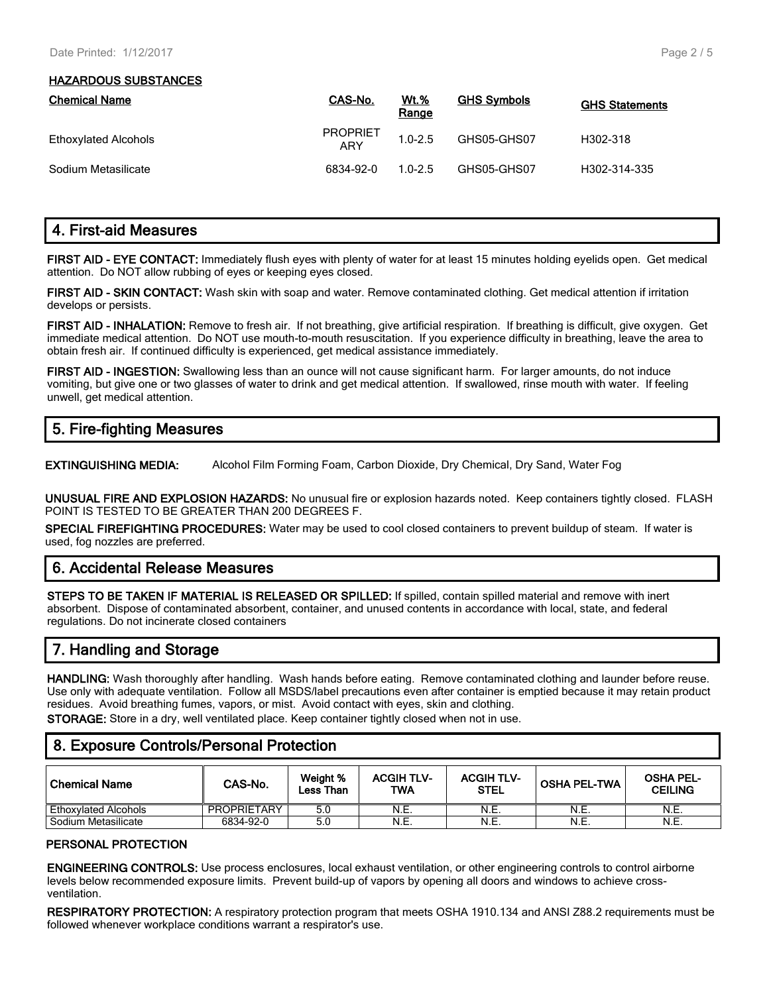#### **HAZARDOUS SUBSTANCES**

| <b>Chemical Name</b> | CAS-No.                | <u>Wt.%</u><br>Range | <b>GHS Symbols</b> | <b>GHS Statements</b> |
|----------------------|------------------------|----------------------|--------------------|-----------------------|
| Ethoxylated Alcohols | <b>PROPRIET</b><br>ARY | $1.0 - 2.5$          | GHS05-GHS07        | H302-318              |
| Sodium Metasilicate  | 6834-92-0              | $1.0 - 2.5$          | GHS05-GHS07        | H302-314-335          |

# **4. First-aid Measures**

**FIRST AID - EYE CONTACT:** Immediately flush eyes with plenty of water for at least 15 minutes holding eyelids open. Get medical attention. Do NOT allow rubbing of eyes or keeping eyes closed.

**FIRST AID - SKIN CONTACT:** Wash skin with soap and water. Remove contaminated clothing. Get medical attention if irritation develops or persists.

**FIRST AID - INHALATION:** Remove to fresh air. If not breathing, give artificial respiration. If breathing is difficult, give oxygen. Get immediate medical attention. Do NOT use mouth-to-mouth resuscitation. If you experience difficulty in breathing, leave the area to obtain fresh air. If continued difficulty is experienced, get medical assistance immediately.

**FIRST AID - INGESTION:** Swallowing less than an ounce will not cause significant harm. For larger amounts, do not induce vomiting, but give one or two glasses of water to drink and get medical attention. If swallowed, rinse mouth with water. If feeling unwell, get medical attention.

## **5. Fire-fighting Measures**

**EXTINGUISHING MEDIA:** Alcohol Film Forming Foam, Carbon Dioxide, Dry Chemical, Dry Sand, Water Fog

**UNUSUAL FIRE AND EXPLOSION HAZARDS:** No unusual fire or explosion hazards noted. Keep containers tightly closed. FLASH POINT IS TESTED TO BE GREATER THAN 200 DEGREES F.

**SPECIAL FIREFIGHTING PROCEDURES:** Water may be used to cool closed containers to prevent buildup of steam. If water is used, fog nozzles are preferred.

## **6. Accidental Release Measures**

**STEPS TO BE TAKEN IF MATERIAL IS RELEASED OR SPILLED:** If spilled, contain spilled material and remove with inert absorbent. Dispose of contaminated absorbent, container, and unused contents in accordance with local, state, and federal regulations. Do not incinerate closed containers

# **7. Handling and Storage**

**HANDLING:** Wash thoroughly after handling. Wash hands before eating. Remove contaminated clothing and launder before reuse. Use only with adequate ventilation. Follow all MSDS/label precautions even after container is emptied because it may retain product residues. Avoid breathing fumes, vapors, or mist. Avoid contact with eyes, skin and clothing.

**STORAGE:** Store in a dry, well ventilated place. Keep container tightly closed when not in use.

## **8. Exposure Controls/Personal Protection**

| l Chemical Name             | CAS-No.     | Weight %<br>Less Than | <b>ACGIH TLV-</b><br><b>TWA</b> | <b>ACGIH TLV-</b><br><b>STEL</b> | <b>OSHA PEL-TWA</b> | <b>OSHA PEL-</b><br><b>CEILING</b> |
|-----------------------------|-------------|-----------------------|---------------------------------|----------------------------------|---------------------|------------------------------------|
| <b>Ethoxylated Alcohols</b> | PROPRIETARY | 5.0                   | N.E.                            | N.E.                             | N.E.                | N.E.                               |
| Sodium Metasilicate         | 6834-92-0   | 5.0                   | N.E.                            | N.E.                             | N.E.                | N.E.                               |

#### **PERSONAL PROTECTION**

**ENGINEERING CONTROLS:** Use process enclosures, local exhaust ventilation, or other engineering controls to control airborne levels below recommended exposure limits. Prevent build-up of vapors by opening all doors and windows to achieve crossventilation.

**RESPIRATORY PROTECTION:** A respiratory protection program that meets OSHA 1910.134 and ANSI Z88.2 requirements must be followed whenever workplace conditions warrant a respirator's use.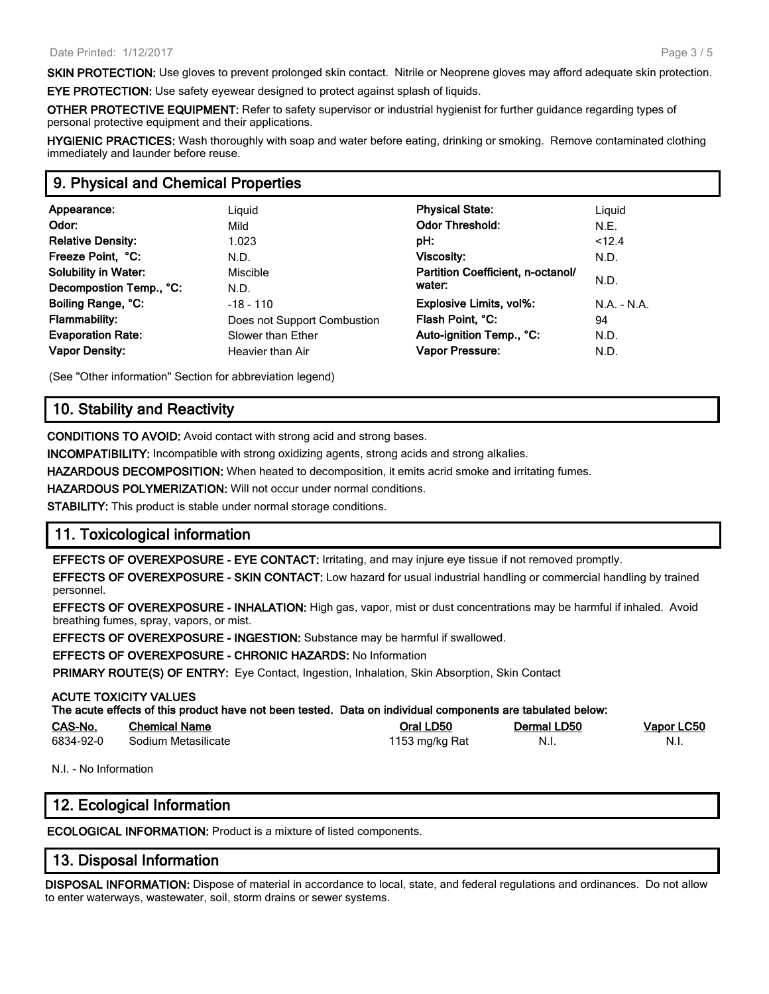**SKIN PROTECTION:** Use gloves to prevent prolonged skin contact. Nitrile or Neoprene gloves may afford adequate skin protection.

**EYE PROTECTION:** Use safety eyewear designed to protect against splash of liquids.

**OTHER PROTECTIVE EQUIPMENT:** Refer to safety supervisor or industrial hygienist for further guidance regarding types of personal protective equipment and their applications.

**HYGIENIC PRACTICES:** Wash thoroughly with soap and water before eating, drinking or smoking. Remove contaminated clothing immediately and launder before reuse.

## **9. Physical and Chemical Properties**

| Appearance:                 | Liguid                      | <b>Physical State:</b>            | Liguid    |
|-----------------------------|-----------------------------|-----------------------------------|-----------|
| Odor:                       | Mild                        | <b>Odor Threshold:</b>            | N.E.      |
| <b>Relative Density:</b>    | 1.023                       | pH:                               | < 12.4    |
| Freeze Point, °C:           | N.D.                        | <b>Viscosity:</b>                 | N.D.      |
| <b>Solubility in Water:</b> | Miscible                    | Partition Coefficient, n-octanol/ |           |
| Decompostion Temp., °C:     | N.D.                        | water:                            | N.D.      |
| Boiling Range, °C:          | $-18 - 110$                 | Explosive Limits, vol%:           | $NA - NA$ |
| <b>Flammability:</b>        | Does not Support Combustion | Flash Point, °C:                  | 94        |
| <b>Evaporation Rate:</b>    | Slower than Ether           | Auto-ignition Temp., °C:          | N.D.      |
| <b>Vapor Density:</b>       | Heavier than Air            | Vapor Pressure:                   | N.D.      |
|                             |                             |                                   |           |

(See "Other information" Section for abbreviation legend)

## **10. Stability and Reactivity**

**CONDITIONS TO AVOID:** Avoid contact with strong acid and strong bases.

**INCOMPATIBILITY:** Incompatible with strong oxidizing agents, strong acids and strong alkalies.

**HAZARDOUS DECOMPOSITION:** When heated to decomposition, it emits acrid smoke and irritating fumes.

**HAZARDOUS POLYMERIZATION:** Will not occur under normal conditions.

**STABILITY:** This product is stable under normal storage conditions.

## **11. Toxicological information**

**EFFECTS OF OVEREXPOSURE - EYE CONTACT:** Irritating, and may injure eye tissue if not removed promptly.

**EFFECTS OF OVEREXPOSURE - SKIN CONTACT:** Low hazard for usual industrial handling or commercial handling by trained personnel.

**EFFECTS OF OVEREXPOSURE - INHALATION:** High gas, vapor, mist or dust concentrations may be harmful if inhaled. Avoid breathing fumes, spray, vapors, or mist.

**EFFECTS OF OVEREXPOSURE - INGESTION:** Substance may be harmful if swallowed.

**EFFECTS OF OVEREXPOSURE - CHRONIC HAZARDS:** No Information

**PRIMARY ROUTE(S) OF ENTRY:** Eye Contact, Ingestion, Inhalation, Skin Absorption, Skin Contact

#### **ACUTE TOXICITY VALUES**

| The acute effects of this product have not been tested. Data on individual components are tabulated below: |                      |              |             |            |
|------------------------------------------------------------------------------------------------------------|----------------------|--------------|-------------|------------|
| <b>CAS-No.</b>                                                                                             | <b>Chemical Name</b> | Oral LD50    | Dermal LD50 | Vapor LC50 |
| con Long                                                                                                   | $0.11$ M-1-1-11-1-1  | $1150 - 111$ |             |            |

6834-92-0 Sodium Metasilicate 1153 mg/kg Rat N.I. N.I.

N.I. - No Information

## **12. Ecological Information**

**ECOLOGICAL INFORMATION:** Product is a mixture of listed components.

## **13. Disposal Information**

**DISPOSAL INFORMATION:** Dispose of material in accordance to local, state, and federal regulations and ordinances. Do not allow to enter waterways, wastewater, soil, storm drains or sewer systems.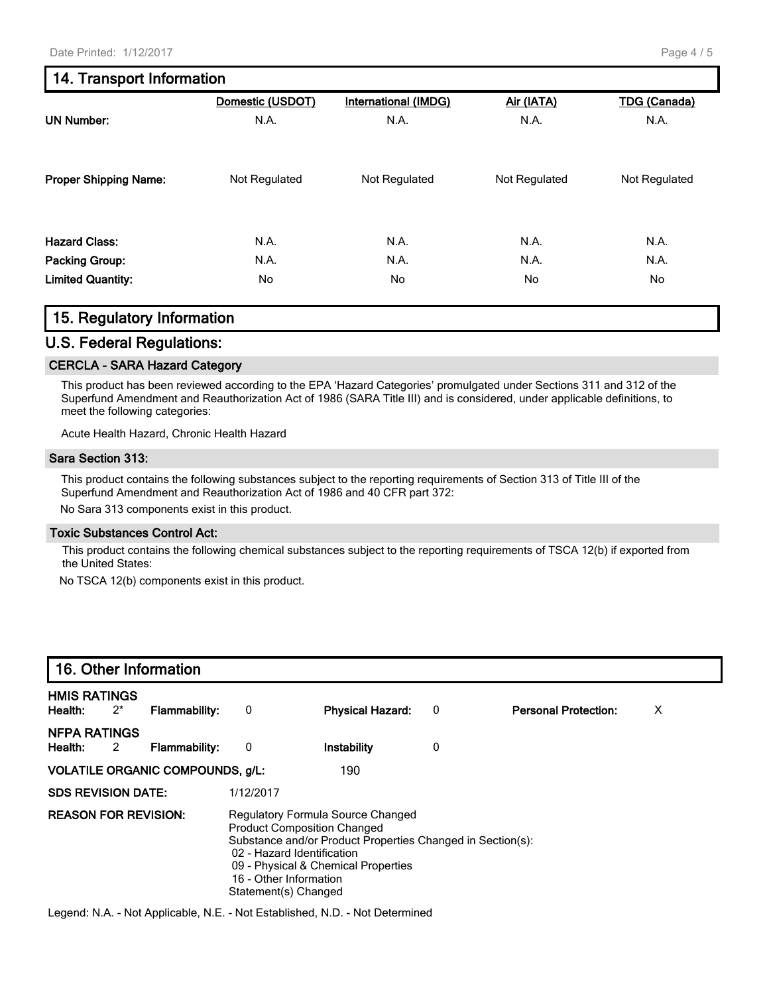# **14. Transport Information**

|                              | Domestic (USDOT) | <b>International (IMDG)</b> | Air (IATA)    | <b>TDG</b> (Canada) |
|------------------------------|------------------|-----------------------------|---------------|---------------------|
| <b>UN Number:</b>            | N.A.             | N.A.                        | N.A.          | N.A.                |
| <b>Proper Shipping Name:</b> | Not Regulated    | Not Regulated               | Not Regulated | Not Regulated       |
| <b>Hazard Class:</b>         | N.A.             | N.A.                        | N.A.          | N.A.                |
| <b>Packing Group:</b>        | N.A.             | N.A.                        | N.A.          | N.A.                |
| <b>Limited Quantity:</b>     | No               | No                          | No            | No                  |

## **15. Regulatory Information**

## **U.S. Federal Regulations:**

#### **CERCLA - SARA Hazard Category**

This product has been reviewed according to the EPA 'Hazard Categories' promulgated under Sections 311 and 312 of the Superfund Amendment and Reauthorization Act of 1986 (SARA Title III) and is considered, under applicable definitions, to meet the following categories:

Acute Health Hazard, Chronic Health Hazard

#### **Sara Section 313:**

This product contains the following substances subject to the reporting requirements of Section 313 of Title III of the Superfund Amendment and Reauthorization Act of 1986 and 40 CFR part 372:

No Sara 313 components exist in this product.

#### **Toxic Substances Control Act:**

This product contains the following chemical substances subject to the reporting requirements of TSCA 12(b) if exported from the United States:

No TSCA 12(b) components exist in this product.

| 16. Other Information          |       |                                                                                                                    |                                                                                                                                        |                         |   |                             |   |
|--------------------------------|-------|--------------------------------------------------------------------------------------------------------------------|----------------------------------------------------------------------------------------------------------------------------------------|-------------------------|---|-----------------------------|---|
| <b>HMIS RATINGS</b><br>Health: | $2^*$ | <b>Flammability:</b>                                                                                               | 0                                                                                                                                      | <b>Physical Hazard:</b> | 0 | <b>Personal Protection:</b> | X |
| <b>NFPA RATINGS</b><br>Health: | 2     | <b>Flammability:</b>                                                                                               | 0                                                                                                                                      | Instability             | 0 |                             |   |
|                                |       | <b>VOLATILE ORGANIC COMPOUNDS, g/L:</b>                                                                            |                                                                                                                                        | 190                     |   |                             |   |
| <b>SDS REVISION DATE:</b>      |       |                                                                                                                    | 1/12/2017                                                                                                                              |                         |   |                             |   |
| <b>REASON FOR REVISION:</b>    |       | <b>Product Composition Changed</b><br>02 - Hazard Identification<br>16 - Other Information<br>Statement(s) Changed | Regulatory Formula Source Changed<br>Substance and/or Product Properties Changed in Section(s):<br>09 - Physical & Chemical Properties |                         |   |                             |   |